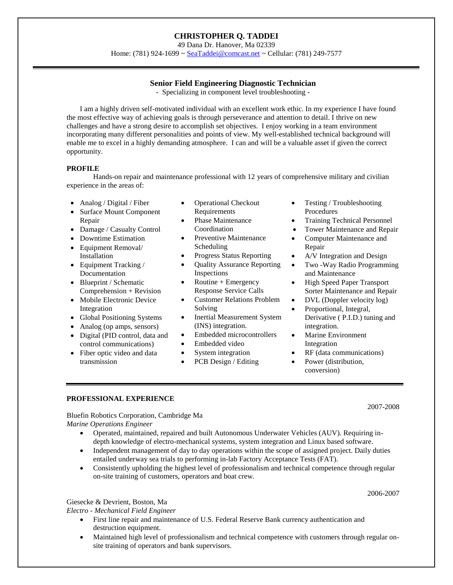# **CHRISTOPHER Q. TADDEI**

49 Dana Dr. Hanover, Ma 02339

Home: (781) 924-1699 [~ SeaTaddei@comcast.net](mailto:SeaTaddei@comcast.net) ~ Cellular: (781) 249-7577

# **Senior Field Engineering Diagnostic Technician**

- Specializing in component level troubleshooting -

I am a highly driven self-motivated individual with an excellent work ethic. In my experience I have found the most effective way of achieving goals is through perseverance and attention to detail. I thrive on new challenges and have a strong desire to accomplish set objectives. I enjoy working in a team environment incorporating many different personalities and points of view. My well-established technical background will enable me to excel in a highly demanding atmosphere. I can and will be a valuable asset if given the correct opportunity.

## **PROFILE**

Hands-on repair and maintenance professional with 12 years of comprehensive military and civilian experience in the areas of:

- Analog / Digital / Fiber
- Surface Mount Component Repair
- Damage / Casualty Control
- Downtime Estimation
- Equipment Removal/ Installation
- Equipment Tracking / Documentation
- Blueprint / Schematic Comprehension + Revision
- Mobile Electronic Device Integration
- Global Positioning Systems
- Analog (op amps, sensors)
- Digital (PID control, data and control communications)
- Fiber optic video and data transmission
- Operational Checkout Requirements
- Phase Maintenance Coordination
- Preventive Maintenance Scheduling
- Progress Status Reporting
- Quality Assurance Reporting Inspections
- Routine + Emergency Response Service Calls
- Customer Relations Problem Solving
- Inertial Measurement System (INS) integration.
- Embedded microcontrollers
- Embedded video
- System integration
- PCB Design / Editing
- Testing / Troubleshooting Procedures
- Training Technical Personnel
- Tower Maintenance and Repair
- Computer Maintenance and Repair
- A/V Integration and Design
- Two -Way Radio Programming and Maintenance
- High Speed Paper Transport Sorter Maintenance and Repair
- DVL (Doppler velocity log)
- Proportional, Integral, Derivative ( P.I.D.) tuning and integration.
- Marine Environment Integration
- RF (data communications)
- Power (distribution, conversion)

## **PROFESSIONAL EXPERIENCE**

Bluefin Robotics Corporation, Cambridge Ma *Marine Operations Engineer*

- Operated, maintained, repaired and built Autonomous Underwater Vehicles (AUV). Requiring indepth knowledge of electro-mechanical systems, system integration and Linux based software*.*
- Independent management of day to day operations within the scope of assigned project. Daily duties entailed underway sea trials to performing in-lab Factory Acceptance Tests (FAT).
- Consistently upholding the highest level of professionalism and technical competence through regular on-site training of customers, operators and boat crew.

Giesecke & Devrient, Boston, Ma

*Electro - Mechanical Field Engineer*

- First line repair and maintenance of U.S. Federal Reserve Bank currency authentication and destruction equipment.
- Maintained high level of professionalism and technical competence with customers through regular onsite training of operators and bank supervisors.

2007-2008

2006-2007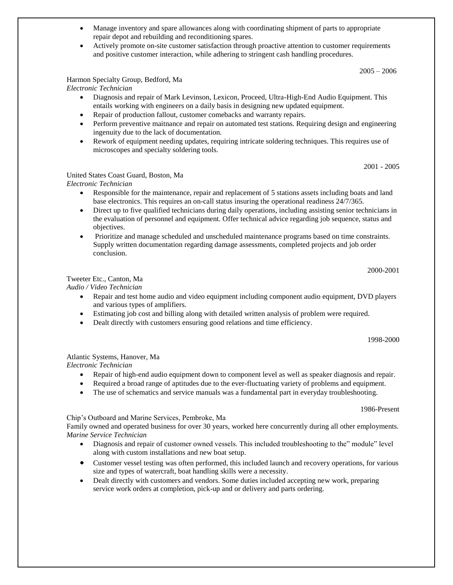- Manage inventory and spare allowances along with coordinating shipment of parts to appropriate repair depot and rebuilding and reconditioning spares*.*
- Actively promote on-site customer satisfaction through proactive attention to customer requirements and positive customer interaction, while adhering to stringent cash handling procedures.

 $2005 - 2006$ 

## Harmon Specialty Group, Bedford, Ma

*Electronic Technician*

- Diagnosis and repair of Mark Levinson, Lexicon, Proceed, Ultra-High-End Audio Equipment. This entails working with engineers on a daily basis in designing new updated equipment.
- Repair of production fallout, customer comebacks and warranty repairs.
- Perform preventive maitnance and repair on automated test stations. Requiring design and engineering ingenuity due to the lack of documentation.
- Rework of equipment needing updates, requiring intricate soldering techniques. This requires use of microscopes and specialty soldering tools.

2001 - 2005

## United States Coast Guard, Boston, Ma

*Electronic Technician*

- Responsible for the maintenance, repair and replacement of 5 stations assets including boats and land base electronics. This requires an on-call status insuring the operational readiness 24/7/365.
- Direct up to five qualified technicians during daily operations, including assisting senior technicians in the evaluation of personnel and equipment. Offer technical advice regarding job sequence, status and objectives.
- Prioritize and manage scheduled and unscheduled maintenance programs based on time constraints. Supply written documentation regarding damage assessments, completed projects and job order conclusion.

2000-2001

# Tweeter Etc., Canton, Ma

*Audio / Video Technician*

- Repair and test home audio and video equipment including component audio equipment, DVD players and various types of amplifiers.
- Estimating job cost and billing along with detailed written analysis of problem were required.
- Dealt directly with customers ensuring good relations and time efficiency.

1998-2000

Atlantic Systems, Hanover, Ma

*Electronic Technician*

- Repair of high-end audio equipment down to component level as well as speaker diagnosis and repair.
- Required a broad range of aptitudes due to the ever-fluctuating variety of problems and equipment.
- The use of schematics and service manuals was a fundamental part in everyday troubleshooting.

1986-Present

#### Chip's Outboard and Marine Services, Pembroke, Ma

Family owned and operated business for over 30 years, worked here concurrently during all other employments. *Marine Service Technician*

- Diagnosis and repair of customer owned vessels. This included troubleshooting to the" module" level along with custom installations and new boat setup.
- Customer vessel testing was often performed, this included launch and recovery operations, for various size and types of watercraft, boat handling skills were a necessity.
- Dealt directly with customers and vendors. Some duties included accepting new work, preparing service work orders at completion, pick-up and or delivery and parts ordering.